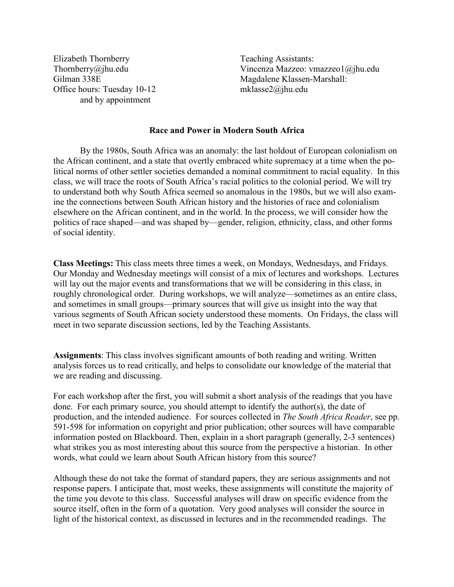Elizabeth Thornberry Thornberry@jhu.edu Gilman 338E Office hours: Tuesday 10-12 and by appointment

Teaching Assistants: Vincenza Mazzeo: vmazzeo1@jhu.edu Magdalene Klassen-Marshall: mklasse2@jhu.edu

## **Race and Power in Modern South Africa**

By the 1980s, South Africa was an anomaly: the last holdout of European colonialism on the African continent, and a state that overtly embraced white supremacy at a time when the political norms of other settler societies demanded a nominal commitment to racial equality. In this class, we will trace the roots of South Africa's racial politics to the colonial period. We will try to understand both why South Africa seemed so anomalous in the 1980s, but we will also examine the connections between South African history and the histories of race and colonialism elsewhere on the African continent, and in the world. In the process, we will consider how the politics of race shaped—and was shaped by—gender, religion, ethnicity, class, and other forms of social identity.

**Class Meetings:** This class meets three times a week, on Mondays, Wednesdays, and Fridays. Our Monday and Wednesday meetings will consist of a mix of lectures and workshops. Lectures will lay out the major events and transformations that we will be considering in this class, in roughly chronological order. During workshops, we will analyze—sometimes as an entire class, and sometimes in small groups—primary sources that will give us insight into the way that various segments of South African society understood these moments. On Fridays, the class will meet in two separate discussion sections, led by the Teaching Assistants.

**Assignments**: This class involves significant amounts of both reading and writing. Written analysis forces us to read critically, and helps to consolidate our knowledge of the material that we are reading and discussing.

For each workshop after the first, you will submit a short analysis of the readings that you have done. For each primary source, you should attempt to identify the author(s), the date of production, and the intended audience. For sources collected in *The South Africa Reader*, see pp. 591-598 for information on copyright and prior publication; other sources will have comparable information posted on Blackboard. Then, explain in a short paragraph (generally, 2-3 sentences) what strikes you as most interesting about this source from the perspective a historian. In other words, what could we learn about South African history from this source?

Although these do not take the format of standard papers, they are serious assignments and not response papers. I anticipate that, most weeks, these assignments will constitute the majority of the time you devote to this class. Successful analyses will draw on specific evidence from the source itself, often in the form of a quotation. Very good analyses will consider the source in light of the historical context, as discussed in lectures and in the recommended readings. The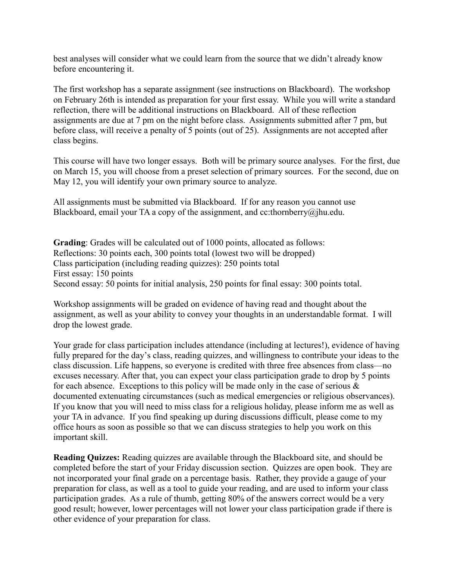best analyses will consider what we could learn from the source that we didn't already know before encountering it.

The first workshop has a separate assignment (see instructions on Blackboard). The workshop on February 26th is intended as preparation for your first essay. While you will write a standard reflection, there will be additional instructions on Blackboard. All of these reflection assignments are due at 7 pm on the night before class. Assignments submitted after 7 pm, but before class, will receive a penalty of 5 points (out of 25). Assignments are not accepted after class begins.

This course will have two longer essays. Both will be primary source analyses. For the first, due on March 15, you will choose from a preset selection of primary sources. For the second, due on May 12, you will identify your own primary source to analyze.

All assignments must be submitted via Blackboard. If for any reason you cannot use Blackboard, email your TA a copy of the assignment, and cc:thornberry@jhu.edu.

**Grading**: Grades will be calculated out of 1000 points, allocated as follows: Reflections: 30 points each, 300 points total (lowest two will be dropped) Class participation (including reading quizzes): 250 points total First essay: 150 points Second essay: 50 points for initial analysis, 250 points for final essay: 300 points total.

Workshop assignments will be graded on evidence of having read and thought about the assignment, as well as your ability to convey your thoughts in an understandable format. I will drop the lowest grade.

Your grade for class participation includes attendance (including at lectures!), evidence of having fully prepared for the day's class, reading quizzes, and willingness to contribute your ideas to the class discussion. Life happens, so everyone is credited with three free absences from class—no excuses necessary. After that, you can expect your class participation grade to drop by 5 points for each absence. Exceptions to this policy will be made only in the case of serious  $\&$ documented extenuating circumstances (such as medical emergencies or religious observances). If you know that you will need to miss class for a religious holiday, please inform me as well as your TA in advance. If you find speaking up during discussions difficult, please come to my office hours as soon as possible so that we can discuss strategies to help you work on this important skill.

**Reading Quizzes:** Reading quizzes are available through the Blackboard site, and should be completed before the start of your Friday discussion section. Quizzes are open book. They are not incorporated your final grade on a percentage basis. Rather, they provide a gauge of your preparation for class, as well as a tool to guide your reading, and are used to inform your class participation grades. As a rule of thumb, getting 80% of the answers correct would be a very good result; however, lower percentages will not lower your class participation grade if there is other evidence of your preparation for class.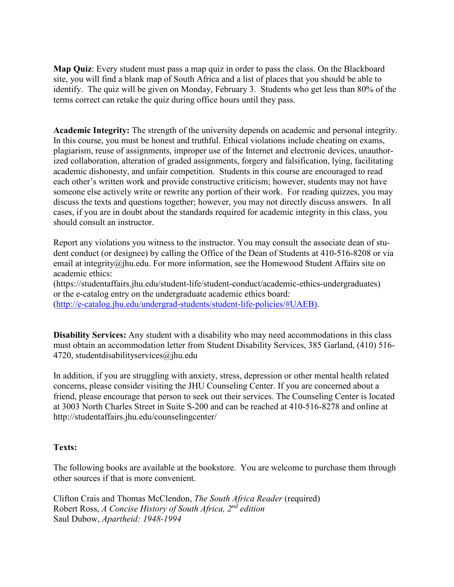**Map Quiz**: Every student must pass a map quiz in order to pass the class. On the Blackboard site, you will find a blank map of South Africa and a list of places that you should be able to identify. The quiz will be given on Monday, February 3. Students who get less than 80% of the terms correct can retake the quiz during office hours until they pass.

**Academic Integrity:** The strength of the university depends on academic and personal integrity. In this course, you must be honest and truthful. Ethical violations include cheating on exams, plagiarism, reuse of assignments, improper use of the Internet and electronic devices, unauthorized collaboration, alteration of graded assignments, forgery and falsification, lying, facilitating academic dishonesty, and unfair competition. Students in this course are encouraged to read each other's written work and provide constructive criticism; however, students may not have someone else actively write or rewrite any portion of their work. For reading quizzes, you may discuss the texts and questions together; however, you may not directly discuss answers. In all cases, if you are in doubt about the standards required for academic integrity in this class, you should consult an instructor.

Report any violations you witness to the instructor. You may consult the associate dean of student conduct (or designee) by calling the Office of the Dean of Students at 410-516-8208 or via email at integrity@jhu.edu. For more information, see the Homewood Student Affairs site on academic ethics:

(https://studentaffairs.jhu.edu/student-life/student-conduct/academic-ethics-undergraduates) or the e-catalog entry on the undergraduate academic ethics board: [\(http://e-catalog.jhu.edu/undergrad-students/student-life-policies/#UAEB\).](http://e-catalog.jhu.edu/undergrad-students/student-life-policies/#UAEB))

**Disability Services:** Any student with a disability who may need accommodations in this class must obtain an accommodation letter from Student Disability Services, 385 Garland, (410) 516- 4720, studentdisabilityservices@jhu.edu

In addition, if you are struggling with anxiety, stress, depression or other mental health related concerns, please consider visiting the JHU Counseling Center. If you are concerned about a friend, please encourage that person to seek out their services. The Counseling Center is located at 3003 North Charles Street in Suite S-200 and can be reached at 410-516-8278 and online at http://studentaffairs.jhu.edu/counselingcenter/

## **Texts:**

The following books are available at the bookstore. You are welcome to purchase them through other sources if that is more convenient.

Clifton Crais and Thomas McClendon, *The South Africa Reader* (required) Robert Ross, *A Concise History of South Africa, 2nd edition*  Saul Dubow, *Apartheid: 1948-1994*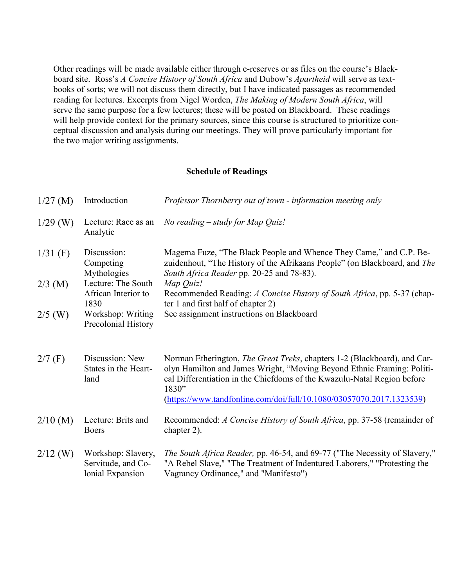Other readings will be made available either through e-reserves or as files on the course's Blackboard site. Ross's *A Concise History of South Africa* and Dubow's *Apartheid* will serve as textbooks of sorts; we will not discuss them directly, but I have indicated passages as recommended reading for lectures. Excerpts from Nigel Worden, *The Making of Modern South Africa*, will serve the same purpose for a few lectures; these will be posted on Blackboard. These readings will help provide context for the primary sources, since this course is structured to prioritize conceptual discussion and analysis during our meetings. They will prove particularly important for the two major writing assignments.

## **Schedule of Readings**

| $1/27$ (M) | Introduction                                                 | Professor Thornberry out of town - information meeting only                                                                                                                                                                                                                                                    |
|------------|--------------------------------------------------------------|----------------------------------------------------------------------------------------------------------------------------------------------------------------------------------------------------------------------------------------------------------------------------------------------------------------|
| $1/29$ (W) | Lecture: Race as an<br>Analytic                              | No reading $-$ study for Map Quiz!                                                                                                                                                                                                                                                                             |
| $1/31$ (F) | Discussion:<br>Competing<br>Mythologies                      | Magema Fuze, "The Black People and Whence They Came," and C.P. Be-<br>zuidenhout, "The History of the Afrikaans People" (on Blackboard, and The<br>South Africa Reader pp. 20-25 and 78-83).                                                                                                                   |
| $2/3$ (M)  | Lecture: The South<br>African Interior to<br>1830            | Map Quiz!<br>Recommended Reading: A Concise History of South Africa, pp. 5-37 (chap-<br>ter 1 and first half of chapter 2)                                                                                                                                                                                     |
| $2/5$ (W)  | Workshop: Writing<br>Precolonial History                     | See assignment instructions on Blackboard                                                                                                                                                                                                                                                                      |
| $2/7$ (F)  | Discussion: New<br>States in the Heart-<br>land              | Norman Etherington, The Great Treks, chapters 1-2 (Blackboard), and Car-<br>olyn Hamilton and James Wright, "Moving Beyond Ethnic Framing: Politi-<br>cal Differentiation in the Chiefdoms of the Kwazulu-Natal Region before<br>1830"<br>(https://www.tandfonline.com/doi/full/10.1080/03057070.2017.1323539) |
| $2/10$ (M) | Lecture: Brits and<br><b>Boers</b>                           | Recommended: A Concise History of South Africa, pp. 37-58 (remainder of<br>chapter 2).                                                                                                                                                                                                                         |
| $2/12$ (W) | Workshop: Slavery,<br>Servitude, and Co-<br>lonial Expansion | The South Africa Reader, pp. 46-54, and 69-77 ("The Necessity of Slavery,"<br>"A Rebel Slave," "The Treatment of Indentured Laborers," "Protesting the<br>Vagrancy Ordinance," and "Manifesto")                                                                                                                |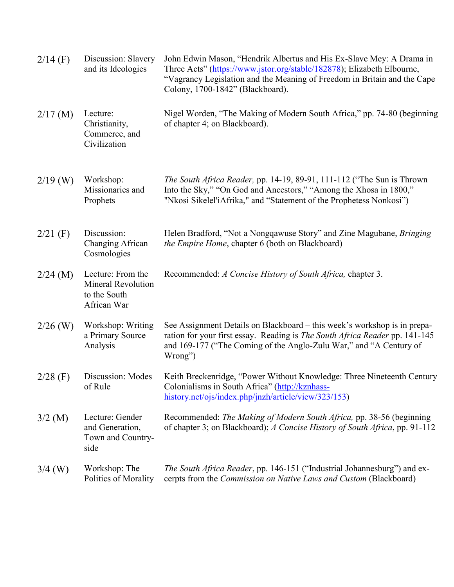| $2/14$ (F) | Discussion: Slavery<br>and its Ideologies                                     | John Edwin Mason, "Hendrik Albertus and His Ex-Slave Mey: A Drama in<br>Three Acts" (https://www.jstor.org/stable/182878); Elizabeth Elbourne,<br>"Vagrancy Legislation and the Meaning of Freedom in Britain and the Cape<br>Colony, 1700-1842" (Blackboard). |
|------------|-------------------------------------------------------------------------------|----------------------------------------------------------------------------------------------------------------------------------------------------------------------------------------------------------------------------------------------------------------|
| $2/17$ (M) | Lecture:<br>Christianity,<br>Commerce, and<br>Civilization                    | Nigel Worden, "The Making of Modern South Africa," pp. 74-80 (beginning<br>of chapter 4; on Blackboard).                                                                                                                                                       |
| $2/19$ (W) | Workshop:<br>Missionaries and<br>Prophets                                     | <i>The South Africa Reader, pp. 14-19, 89-91, 111-112 ("The Sun is Thrown</i><br>Into the Sky," "On God and Ancestors," "Among the Xhosa in 1800,"<br>"Nkosi Sikelel'iAfrika," and "Statement of the Prophetess Nonkosi")                                      |
| $2/21$ (F) | Discussion:<br>Changing African<br>Cosmologies                                | Helen Bradford, "Not a Nongqawuse Story" and Zine Magubane, Bringing<br>the Empire Home, chapter 6 (both on Blackboard)                                                                                                                                        |
| $2/24$ (M) | Lecture: From the<br><b>Mineral Revolution</b><br>to the South<br>African War | Recommended: A Concise History of South Africa, chapter 3.                                                                                                                                                                                                     |
| $2/26$ (W) | Workshop: Writing<br>a Primary Source<br>Analysis                             | See Assignment Details on Blackboard – this week's workshop is in prepa-<br>ration for your first essay. Reading is The South Africa Reader pp. 141-145<br>and 169-177 ("The Coming of the Anglo-Zulu War," and "A Century of<br>Wrong")                       |
| $2/28$ (F) | Discussion: Modes<br>of Rule                                                  | Keith Breckenridge, "Power Without Knowledge: Three Nineteenth Century<br>Colonialisms in South Africa" (http://kznhass-<br>history.net/ojs/index.php/jnzh/article/view/323/153)                                                                               |
| $3/2$ (M)  | Lecture: Gender<br>and Generation,<br>Town and Country-<br>side               | Recommended: The Making of Modern South Africa, pp. 38-56 (beginning<br>of chapter 3; on Blackboard); A Concise History of South Africa, pp. 91-112                                                                                                            |
| $3/4$ (W)  | Workshop: The<br>Politics of Morality                                         | The South Africa Reader, pp. 146-151 ("Industrial Johannesburg") and ex-<br>cerpts from the Commission on Native Laws and Custom (Blackboard)                                                                                                                  |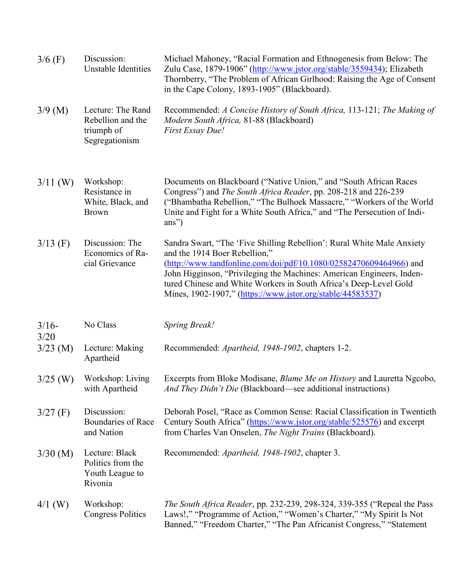| $3/6$ (F)       | Discussion:<br><b>Unstable Identities</b>                              | Michael Mahoney, "Racial Formation and Ethnogenesis from Below: The<br>Zulu Case, 1879-1906" (http://www.jstor.org/stable/3559434); Elizabeth<br>Thornberry, "The Problem of African Girlhood: Raising the Age of Consent<br>in the Cape Colony, 1893-1905" (Blackboard).                                                                                                                 |
|-----------------|------------------------------------------------------------------------|-------------------------------------------------------------------------------------------------------------------------------------------------------------------------------------------------------------------------------------------------------------------------------------------------------------------------------------------------------------------------------------------|
| $3/9$ (M)       | Lecture: The Rand<br>Rebellion and the<br>triumph of<br>Segregationism | Recommended: A Concise History of South Africa, 113-121; The Making of<br>Modern South Africa, 81-88 (Blackboard)<br>First Essay Due!                                                                                                                                                                                                                                                     |
| $3/11$ (W)      | Workshop:<br>Resistance in<br>White, Black, and<br><b>Brown</b>        | Documents on Blackboard ("Native Union," and "South African Races<br>Congress") and The South Africa Reader, pp. 208-218 and 226-239<br>("Bhambatha Rebellion," "The Bulhoek Massacre," "Workers of the World<br>Unite and Fight for a White South Africa," and "The Persecution of Indi-<br>ans")                                                                                        |
| $3/13$ (F)      | Discussion: The<br>Economics of Ra-<br>cial Grievance                  | Sandra Swart, "The 'Five Shilling Rebellion': Rural White Male Anxiety<br>and the 1914 Boer Rebellion,"<br>(http://www.tandfonline.com/doi/pdf/10.1080/02582470609464966) and<br>John Higginson, "Privileging the Machines: American Engineers, Inden-<br>tured Chinese and White Workers in South Africa's Deep-Level Gold<br>Mines, 1902-1907," (https://www.jstor.org/stable/44583537) |
| $3/16-$<br>3/20 | No Class                                                               | <b>Spring Break!</b>                                                                                                                                                                                                                                                                                                                                                                      |
| $3/23$ (M)      | Lecture: Making<br>Apartheid                                           | Recommended: <i>Apartheid</i> , 1948-1902, chapters 1-2.                                                                                                                                                                                                                                                                                                                                  |
| $3/25$ (W)      | Workshop: Living<br>with Apartheid                                     | Excerpts from Bloke Modisane, <i>Blame Me on History</i> and Lauretta Ngcobo,<br>And They Didn't Die (Blackboard—see additional instructions)                                                                                                                                                                                                                                             |
| $3/27$ (F)      | Discussion:<br>Boundaries of Race<br>and Nation                        | Deborah Posel, "Race as Common Sense: Racial Classification in Twentieth<br>Century South Africa" (https://www.jstor.org/stable/525576) and excerpt<br>from Charles Van Onselen, The Night Trains (Blackboard).                                                                                                                                                                           |
| $3/30$ (M)      | Lecture: Black<br>Politics from the<br>Youth League to<br>Rivonia      | Recommended: Apartheid, 1948-1902, chapter 3.                                                                                                                                                                                                                                                                                                                                             |
| $4/1$ (W)       | Workshop:<br><b>Congress Politics</b>                                  | <i>The South Africa Reader, pp. 232-239, 298-324, 339-355</i> ("Repeal the Pass")<br>Laws!," "Programme of Action," "Women's Charter," "My Spirit Is Not<br>Banned," "Freedom Charter," "The Pan Africanist Congress," "Statement                                                                                                                                                         |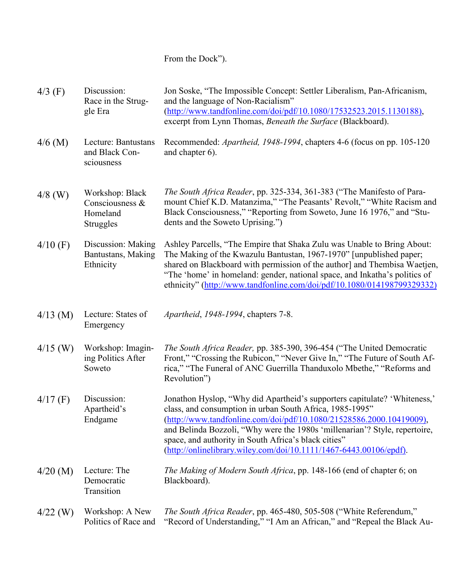## From the Dock").

| $4/3$ (F)  | Discussion:<br>Race in the Strug-<br>gle Era                | Jon Soske, "The Impossible Concept: Settler Liberalism, Pan-Africanism,<br>and the language of Non-Racialism"<br>(http://www.tandfonline.com/doi/pdf/10.1080/17532523.2015.1130188),<br>excerpt from Lynn Thomas, Beneath the Surface (Blackboard).                                                                                                                                                                               |
|------------|-------------------------------------------------------------|-----------------------------------------------------------------------------------------------------------------------------------------------------------------------------------------------------------------------------------------------------------------------------------------------------------------------------------------------------------------------------------------------------------------------------------|
| $4/6$ (M)  | Lecture: Bantustans<br>and Black Con-<br>sciousness         | Recommended: <i>Apartheid</i> , 1948-1994, chapters 4-6 (focus on pp. 105-120)<br>and chapter 6).                                                                                                                                                                                                                                                                                                                                 |
| $4/8$ (W)  | Workshop: Black<br>Consciousness &<br>Homeland<br>Struggles | <i>The South Africa Reader, pp.</i> 325-334, 361-383 ("The Manifesto of Para-<br>mount Chief K.D. Matanzima," "The Peasants' Revolt," "White Racism and<br>Black Consciousness," "Reporting from Soweto, June 16 1976," and "Stu-<br>dents and the Soweto Uprising.")                                                                                                                                                             |
| $4/10$ (F) | Discussion: Making<br>Bantustans, Making<br>Ethnicity       | Ashley Parcells, "The Empire that Shaka Zulu was Unable to Bring About:<br>The Making of the Kwazulu Bantustan, 1967-1970" [unpublished paper;<br>shared on Blackboard with permission of the author] and Thembisa Waetjen,<br>"The 'home' in homeland: gender, national space, and Inkatha's politics of<br>ethnicity" (http://www.tandfonline.com/doi/pdf/10.1080/014198799329332)                                              |
| $4/13$ (M) | Lecture: States of<br>Emergency                             | <i>Apartheid, 1948-1994, chapters 7-8.</i>                                                                                                                                                                                                                                                                                                                                                                                        |
| $4/15$ (W) | Workshop: Imagin-<br>ing Politics After<br>Soweto           | The South Africa Reader, pp. 385-390, 396-454 ("The United Democratic<br>Front," "Crossing the Rubicon," "Never Give In," "The Future of South Af-<br>rica," "The Funeral of ANC Guerrilla Thanduxolo Mbethe," "Reforms and<br>Revolution")                                                                                                                                                                                       |
| $4/17$ (F) | Discussion:<br>Apartheid's<br>Endgame                       | Jonathon Hyslop, "Why did Apartheid's supporters capitulate? 'Whiteness,'<br>class, and consumption in urban South Africa, 1985-1995"<br>(http://www.tandfonline.com/doi/pdf/10.1080/21528586.2000.10419009),<br>and Belinda Bozzoli, "Why were the 1980s 'millenarian'? Style, repertoire,<br>space, and authority in South Africa's black cities"<br>$(\frac{http://onlinelibrary.wiley.com/doi/10.1111/1467-6443.00106/epdf).$ |
| $4/20$ (M) | Lecture: The<br>Democratic<br>Transition                    | The Making of Modern South Africa, pp. 148-166 (end of chapter 6; on<br>Blackboard).                                                                                                                                                                                                                                                                                                                                              |
| $4/22$ (W) | Workshop: A New<br>Politics of Race and                     | <i>The South Africa Reader, pp. 465-480, 505-508 ("White Referendum,"</i><br>"Record of Understanding," "I Am an African," and "Repeal the Black Au-                                                                                                                                                                                                                                                                              |